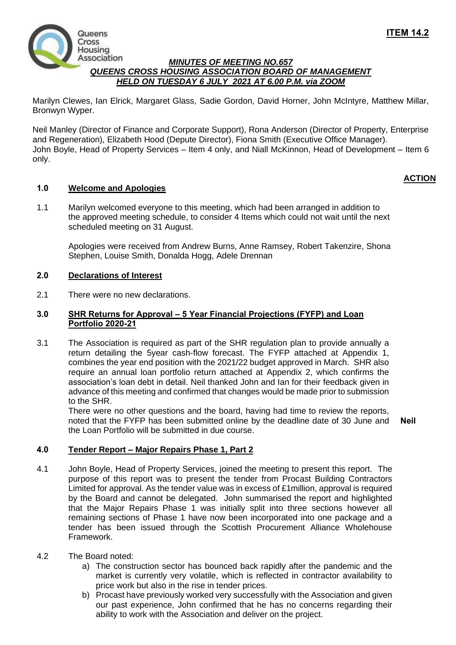

# *MINUTES OF MEETING NO.657 QUEENS CROSS HOUSING ASSOCIATION BOARD OF MANAGEMENT HELD ON TUESDAY 6 JULY 2021 AT 6.00 P.M. via ZOOM*

Marilyn Clewes, Ian Elrick, Margaret Glass, Sadie Gordon, David Horner, John McIntyre, Matthew Millar, Bronwyn Wyper.

Neil Manley (Director of Finance and Corporate Support), Rona Anderson (Director of Property, Enterprise and Regeneration), Elizabeth Hood (Depute Director), Fiona Smith (Executive Office Manager). John Boyle, Head of Property Services – Item 4 only, and Niall McKinnon, Head of Development – Item 6 only.

# **1.0 Welcome and Apologies**

1.1 Marilyn welcomed everyone to this meeting, which had been arranged in addition to the approved meeting schedule, to consider 4 Items which could not wait until the next scheduled meeting on 31 August.

Apologies were received from Andrew Burns, Anne Ramsey, Robert Takenzire, Shona Stephen, Louise Smith, Donalda Hogg, Adele Drennan

# **2.0 Declarations of Interest**

2.1 There were no new declarations.

# **3.0 SHR Returns for Approval – 5 Year Financial Projections (FYFP) and Loan Portfolio 2020-21**

3.1 The Association is required as part of the SHR regulation plan to provide annually a return detailing the 5year cash-flow forecast. The FYFP attached at Appendix 1, combines the year end position with the 2021/22 budget approved in March. SHR also require an annual loan portfolio return attached at Appendix 2, which confirms the association's loan debt in detail. Neil thanked John and Ian for their feedback given in advance of this meeting and confirmed that changes would be made prior to submission to the SHR.

There were no other questions and the board, having had time to review the reports, noted that the FYFP has been submitted online by the deadline date of 30 June and the Loan Portfolio will be submitted in due course. **Neil** 

# **4.0 Tender Report – Major Repairs Phase 1, Part 2**

- 4.1 John Boyle, Head of Property Services, joined the meeting to present this report. The purpose of this report was to present the tender from Procast Building Contractors Limited for approval. As the tender value was in excess of £1million, approval is required by the Board and cannot be delegated. John summarised the report and highlighted that the Major Repairs Phase 1 was initially split into three sections however all remaining sections of Phase 1 have now been incorporated into one package and a tender has been issued through the Scottish Procurement Alliance Wholehouse Framework.
- 4.2 The Board noted:
	- a) The construction sector has bounced back rapidly after the pandemic and the market is currently very volatile, which is reflected in contractor availability to price work but also in the rise in tender prices.
	- b) Procast have previously worked very successfully with the Association and given our past experience, John confirmed that he has no concerns regarding their ability to work with the Association and deliver on the project.

# **ACTION**